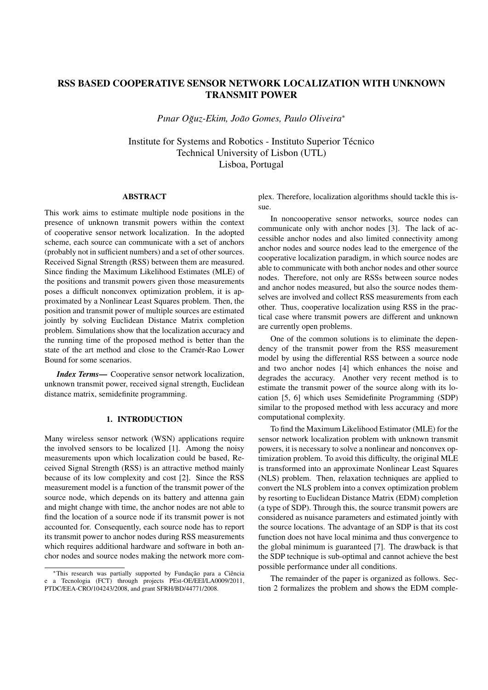# RSS BASED COOPERATIVE SENSOR NETWORK LOCALIZATION WITH UNKNOWN TRANSMIT POWER

*Pınar Oguz-Ekim, Jo ˘ ao Gomes, Paulo Oliveira ˜ ∗*

Institute for Systems and Robotics - Instituto Superior Técnico Technical University of Lisbon (UTL) Lisboa, Portugal

## ABSTRACT

This work aims to estimate multiple node positions in the presence of unknown transmit powers within the context of cooperative sensor network localization. In the adopted scheme, each source can communicate with a set of anchors (probably not in sufficient numbers) and a set of other sources. Received Signal Strength (RSS) between them are measured. Since finding the Maximum Likelihood Estimates (MLE) of the positions and transmit powers given those measurements poses a difficult nonconvex optimization problem, it is approximated by a Nonlinear Least Squares problem. Then, the position and transmit power of multiple sources are estimated jointly by solving Euclidean Distance Matrix completion problem. Simulations show that the localization accuracy and the running time of the proposed method is better than the state of the art method and close to the Cramer-Rao Lower ´ Bound for some scenarios.

*Index Terms*— Cooperative sensor network localization, unknown transmit power, received signal strength, Euclidean distance matrix, semidefinite programming.

## 1. INTRODUCTION

Many wireless sensor network (WSN) applications require the involved sensors to be localized [1]. Among the noisy measurements upon which localization could be based, Received Signal Strength (RSS) is an attractive method mainly because of its low complexity and cost [2]. Since the RSS measurement model is a function of the transmit power of the source node, which depends on its battery and attenna gain and might change with time, the anchor nodes are not able to find the location of a source node if its transmit power is not accounted for. Consequently, each source node has to report its transmit power to anchor nodes during RSS measurements which requires additional hardware and software in both anchor nodes and source nodes making the network more complex. Therefore, localization algorithms should tackle this issue.

In noncooperative sensor networks, source nodes can communicate only with anchor nodes [3]. The lack of accessible anchor nodes and also limited connectivity among anchor nodes and source nodes lead to the emergence of the cooperative localization paradigm, in which source nodes are able to communicate with both anchor nodes and other source nodes. Therefore, not only are RSSs between source nodes and anchor nodes measured, but also the source nodes themselves are involved and collect RSS measurements from each other. Thus, cooperative localization using RSS in the practical case where transmit powers are different and unknown are currently open problems.

One of the common solutions is to eliminate the dependency of the transmit power from the RSS measurement model by using the differential RSS between a source node and two anchor nodes [4] which enhances the noise and degrades the accuracy. Another very recent method is to estimate the transmit power of the source along with its location [5, 6] which uses Semidefinite Programming (SDP) similar to the proposed method with less accuracy and more computational complexity.

To find the Maximum Likelihood Estimator (MLE) for the sensor network localization problem with unknown transmit powers, it is necessary to solve a nonlinear and nonconvex optimization problem. To avoid this difficulty, the original MLE is transformed into an approximate Nonlinear Least Squares (NLS) problem. Then, relaxation techniques are applied to convert the NLS problem into a convex optimization problem by resorting to Euclidean Distance Matrix (EDM) completion (a type of SDP). Through this, the source transmit powers are considered as nuisance parameters and estimated jointly with the source locations. The advantage of an SDP is that its cost function does not have local minima and thus convergence to the global minimum is guaranteed [7]. The drawback is that the SDP technique is sub-optimal and cannot achieve the best possible performance under all conditions.

The remainder of the paper is organized as follows. Section 2 formalizes the problem and shows the EDM comple-

*<sup>\*</sup>*This research was partially supported by Fundação para a Ciência e a Tecnologia (FCT) through projects PEst-OE/EEI/LA0009/2011, PTDC/EEA-CRO/104243/2008, and grant SFRH/BD/44771/2008.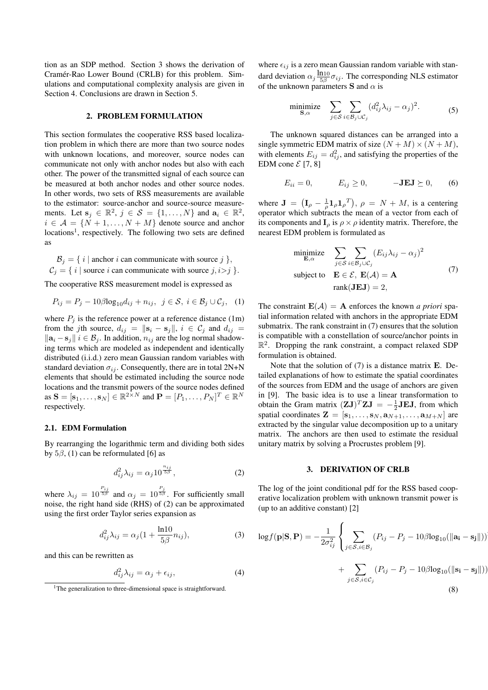tion as an SDP method. Section 3 shows the derivation of Cramér-Rao Lower Bound (CRLB) for this problem. Simulations and computational complexity analysis are given in Section 4. Conclusions are drawn in Section 5.

#### 2. PROBLEM FORMULATION

This section formulates the cooperative RSS based localization problem in which there are more than two source nodes with unknown locations, and moreover, source nodes can communicate not only with anchor nodes but also with each other. The power of the transmitted signal of each source can be measured at both anchor nodes and other source nodes. In other words, two sets of RSS measurements are available to the estimator: source-anchor and source-source measurements. Let  $\mathbf{s}_j \in \mathbb{R}^2$ ,  $j \in \mathcal{S} = \{1, ..., N\}$  and  $\mathbf{a}_i \in \mathbb{R}^2$ ,  $i \in \mathcal{A} = \{N+1, \ldots, N+M\}$  denote source and anchor locations<sup>1</sup>, respectively. The following two sets are defined as

 $\mathcal{B}_j = \{ i \mid \text{anchor } i \text{ can communicate with source } j \}$ ,  $C_i = \{ i |$  source *i* can communicate with source *j*, *i*>*j*  $\}$ *.* 

The cooperative RSS measurement model is expressed as

$$
P_{ij} = P_j - 10\beta \log_{10} d_{ij} + n_{ij}, \ \ j \in \mathcal{S}, \ i \in \mathcal{B}_j \cup \mathcal{C}_j, \ \ (1)
$$

where  $P_i$  is the reference power at a reference distance (1m) from the *j*th source,  $d_{ij} = ||\mathbf{s}_i - \mathbf{s}_j||$ ,  $i \in C_j$  and  $d_{ij} =$ *∥***a***<sup>i</sup> −***s***j∥ i ∈ B<sup>j</sup>* . In addition, *nij* are the log normal shadowing terms which are modeled as independent and identically distributed (i.i.d.) zero mean Gaussian random variables with standard deviation  $\sigma_{ij}$ . Consequently, there are in total 2N+N elements that should be estimated including the source node locations and the transmit powers of the source nodes defined as  $\mathbf{S} = [\mathbf{s}_1, \dots, \mathbf{s}_N] \in \mathbb{R}^{2 \times N}$  and  $\mathbf{P} = [P_1, \dots, P_N]^T \in \mathbb{R}^N$ respectively.

#### 2.1. EDM Formulation

By rearranging the logarithmic term and dividing both sides by  $5\beta$ , (1) can be reformulated [6] as

$$
d_{ij}^2 \lambda_{ij} = \alpha_j 10^{\frac{n_{ij}}{5\beta}}, \qquad (2)
$$

where  $\lambda_{ij} = 10^{\frac{P_{ij}}{5\beta}}$  and  $\alpha_j = 10^{\frac{P_j}{5\beta}}$ . For sufficiently small noise, the right hand side (RHS) of (2) can be approximated using the first order Taylor series expansion as

$$
d_{ij}^2 \lambda_{ij} = \alpha_j \left( 1 + \frac{\ln 10}{5\beta} n_{ij} \right),\tag{3}
$$

and this can be rewritten as

$$
d_{ij}^2 \lambda_{ij} = \alpha_j + \epsilon_{ij}, \tag{4}
$$

where  $\epsilon_{ij}$  is a zero mean Gaussian random variable with standard deviation  $\alpha_j \frac{\ln 10}{5\beta} \sigma_{ij}$ . The corresponding NLS estimator of the unknown parameters **S** and  $\alpha$  is

$$
\underset{\mathbf{S},\alpha}{\text{minimize}} \quad \sum_{j \in S} \sum_{i \in \mathcal{B}_j \cup \mathcal{C}_j} (d_{ij}^2 \lambda_{ij} - \alpha_j)^2. \tag{5}
$$

The unknown squared distances can be arranged into a single symmetric EDM matrix of size  $(N + M) \times (N + M)$ , with elements  $E_{ij} = d_{ij}^2$ , and satisfying the properties of the EDM cone  $\mathcal{E}[7, 8]$ 

$$
E_{ii} = 0, \qquad E_{ij} \ge 0, \qquad -\mathbf{J} \mathbf{E} \mathbf{J} \succeq 0, \qquad (6)
$$

where  $J = (I_\rho - \frac{1}{\rho} I_\rho I_\rho^T)$ ,  $\rho = N + M$ , is a centering operator which subtracts the mean of a vector from each of its components and  $\mathbf{I}_{\rho}$  is  $\rho \times \rho$  identity matrix. Therefore, the nearest EDM problem is formulated as

$$
\begin{array}{ll}\n\text{minimize} & \sum_{j \in S} \sum_{i \in B_j \cup C_j} (E_{ij} \lambda_{ij} - \alpha_j)^2 \\
\text{subject to} & \mathbf{E} \in \mathcal{E}, \ \mathbf{E}(\mathcal{A}) = \mathbf{A} \\
& \text{rank}(\mathbf{J} \mathbf{E} \mathbf{J}) = 2,\n\end{array} \tag{7}
$$

The constraint  $\mathbf{E}(\mathcal{A}) = \mathbf{A}$  enforces the known *a priori* spatial information related with anchors in the appropriate EDM submatrix. The rank constraint in (7) ensures that the solution is compatible with a constellation of source/anchor points in  $\mathbb{R}^2$ . Dropping the rank constraint, a compact relaxed SDP formulation is obtained.

Note that the solution of (7) is a distance matrix **E**. Detailed explanations of how to estimate the spatial coordinates of the sources from EDM and the usage of anchors are given in [9]. The basic idea is to use a linear transformation to obtain the Gram matrix  $(\mathbf{ZJ})^T \mathbf{ZJ} = -\frac{1}{2} \mathbf{J} \mathbf{EJ}$ , from which spatial coordinates  $\mathbf{Z} = [\mathbf{s}_1, \dots, \mathbf{s}_N, \mathbf{a}_{N+1}, \dots, \mathbf{a}_{M+N}]$  are extracted by the singular value decomposition up to a unitary matrix. The anchors are then used to estimate the residual unitary matrix by solving a Procrustes problem [9].

#### 3. DERIVATION OF CRLB

The log of the joint conditional pdf for the RSS based cooperative localization problem with unknown transmit power is (up to an additive constant) [2]

$$
\log f(\mathbf{p}|\mathbf{S}, \mathbf{P}) = -\frac{1}{2\sigma_{ij}^2} \left\{ \sum_{j \in S, i \in \mathcal{B}_j} (P_{ij} - P_j - 10\beta \log_{10}(\|\mathbf{a_i} - \mathbf{s_j}\|)) + \sum_{j \in S} (P_{ij} - P_j - 10\beta \log_{10}(\|\mathbf{s_i} - \mathbf{s_j}\|)) \right\}
$$

$$
+\sum_{j\in\mathcal{S},i\in\mathcal{C}_j}(P_{ij}-P_j-10\beta\log_{10}(\|\mathbf{s_i}-\mathbf{s_j})
$$
\n
$$
(8)
$$

<sup>&</sup>lt;sup>1</sup>The generalization to three-dimensional space is straightforward.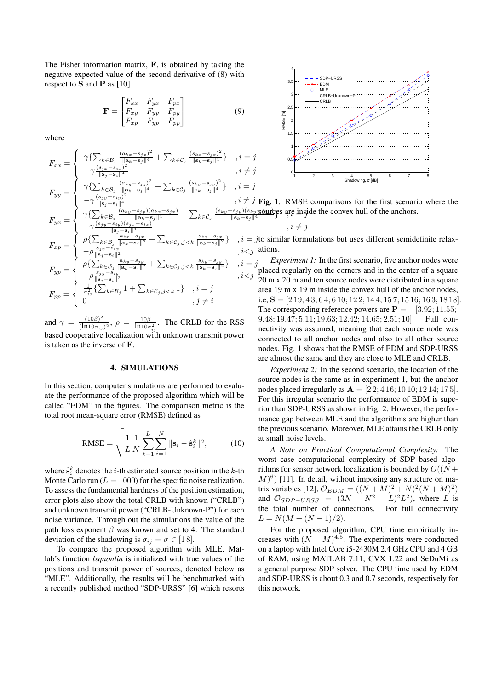The Fisher information matrix, **F**, is obtained by taking the negative expected value of the second derivative of (8) with respect to **S** and **P** as [10]

$$
\mathbf{F} = \begin{bmatrix} F_{xx} & F_{yx} & F_{px} \\ F_{xy} & F_{yy} & F_{py} \\ F_{xp} & F_{yp} & F_{pp} \end{bmatrix} \tag{9}
$$

where

$$
F_{xx} = \begin{cases} \gamma \{ \sum_{k \in \mathcal{B}_j} \frac{(a_{kx} - s_{jx})^2}{\|\mathbf{a}_k - \mathbf{s}_j\|^4} + \sum_{k \in C_j} \frac{(s_{kx} - s_{jx})^2}{\|\mathbf{s}_k - \mathbf{s}_j\|^4} \} & , i = j \\ -\gamma \frac{(s_{jx} - s_{ix})^2}{\|\mathbf{s}_j - \mathbf{s}_i\|^4} & , i \neq j \\ \gamma \{ \sum_{k \in \mathcal{B}_j} \frac{(a_{ky} - s_{jy})^2}{\|\mathbf{a}_k - \mathbf{s}_j\|^4} + \sum_{k \in C_j} \frac{(s_{ky} - s_{jy})^2}{\|\mathbf{s}_k - \mathbf{s}_j\|^4} \} & , i = j \\ -\gamma \frac{(s_{jy} - s_{iy})^2}{\|\mathbf{s}_j - \mathbf{s}_i\|^4} & , i \neq j \\ \gamma \{ \sum_{k \in \mathcal{B}_j} \frac{(a_{ky} - s_{jy})(a_{kx} - s_{jx})}{\|\mathbf{a}_k - \mathbf{s}_j\|^4} + \sum_{k \in C_j} \frac{(s_{ky} - s_{jy})(s_{ky} - s_{jy})}{\|\mathbf{s}_k - \mathbf{s}_j\|^4} & , i \neq j \\ -\gamma \frac{(s_{jy} - s_{iy})(s_{jx} - s_{ix})}{\|\mathbf{s}_j - \mathbf{s}_i\|^4} & , i \neq j \\ F_{xp} = \begin{cases} \rho \{ \sum_{k \in \mathcal{B}_j} \frac{a_{ky} - s_{jx}}{\|\mathbf{a}_k - \mathbf{s}_j\|^2} + \sum_{k \in C_j, j < k} \frac{s_{kx} - s_{jx}}{\|\mathbf{s}_k - \mathbf{s}_j\|^2} \} & , i = j \text{ to similar form} \\ -\rho \frac{s_{jx} - s_{ix}}{\|\mathbf{s}_j - \mathbf{s}_i\|^2} & , i < j \text{ atoms.} \\ \rho \{ \sum_{k \in \mathcal{B}_j} \frac{a_{ky} - s_{jy}}{\|\mathbf{a}_k - \mathbf{s}_j\|^2} + \sum_{k \in C_j, j < k} \frac{s_{ky} - s_{jy}}{\|\mathbf{s}_k - \mathbf{s}_j
$$

and  $\gamma = \frac{(10\beta)^2}{(\ln 10^{-7})^2}$  $\frac{(10\beta)^2}{(\ln 10\sigma_{ij})^2}$ ,  $\rho = \frac{10\beta}{\ln 10\sigma_{ij}^2}$ . The CRLB for the RSS based cooperative localization with unknown transmit power is taken as the inverse of **F**.

#### 4. SIMULATIONS

In this section, computer simulations are performed to evaluate the performance of the proposed algorithm which will be called "EDM" in the figures. The comparison metric is the total root mean-square error (RMSE) defined as

RMSE = 
$$
\sqrt{\frac{1}{L} \frac{1}{N} \sum_{k=1}^{L} \sum_{i=1}^{N} ||\mathbf{s}_i - \hat{\mathbf{s}}_i^k||^2},
$$
 (10)

where  $\hat{\mathbf{s}}_i^k$  denotes the *i*-th estimated source position in the *k*-th Monte Carlo run  $(L = 1000)$  for the specific noise realization. To assess the fundamental hardness of the position estimation, error plots also show the total CRLB with known ("CRLB") and unknown transmit power ("CRLB-Unknown-P") for each noise variance. Through out the simulations the value of the path loss exponent *β* was known and set to 4. The standard deviation of the shadowing is  $\sigma_{ij} = \sigma \in [18]$ .

To compare the proposed algorithm with MLE, Matlab's function *lsqnonlin* is initialized with true values of the positions and transmit power of sources, denoted below as "MLE". Additionally, the results will be benchmarked with a recently published method "SDP-URSS" [6] which resorts



 $\frac{(s_{ky} - s_{jy})(s_{ky} - s_{\theta w})}{\|s_k - s_j\|^4}$  are inside the convex hull of the anchors.  $\hat{J}$  Fig. 1. RMSE comparisons for the first scenario where the

$$
\lambda, i \neq j
$$

 $t = j$ to similar formulations but uses different semidefinite relax $i$  ations.

*Experiment 1:* In the first scenario, five anchor nodes were  $p = j$  Experiment 1: In the first scenario, five anchor nodes were<br>placed regularly on the corners and in the center of a square 20 m x 20 m and ten source nodes were distributed in a square area 19 m x 19 m inside the convex hull of the anchor nodes, i.e, **S** = [2 19; 4 3; 6 4; 6 10; 12 2; 14 4; 15 7; 15 16; 16 3; 18 18]. The corresponding reference powers are  $P = -[3.92; 11.55;$ 9*.*48; 19*.*47; 5*.*11; 19*.*63; 12*.*42; 14*.*65; 2*.*51; 10]. Full connectivity was assumed, meaning that each source node was connected to all anchor nodes and also to all other source nodes. Fig. 1 shows that the RMSE of EDM and SDP-URSS are almost the same and they are close to MLE and CRLB.

*Experiment 2:* In the second scenario, the location of the source nodes is the same as in experiment 1, but the anchor nodes placed irregularly as  $A = [22; 416; 1010; 1214; 175].$ For this irregular scenario the performance of EDM is superior than SDP-URSS as shown in Fig. 2. However, the performance gap between MLE and the algorithms are higher than the previous scenario. Moreover, MLE attains the CRLB only at small noise levels.

*A Note on Practical Computational Complexity:* The worst case computational complexity of SDP based algorithms for sensor network localization is bounded by  $O((N +$  $(M)^6$ ) [11]. In detail, without imposing any structure on matrix variables [12],  $\mathcal{O}_{EDM} = ((N + M)^2 + N)^2 (N + M)^2$ ) and  $\mathcal{O}_{SDP-URSS} = (3N + N^2 + L)^2 L^2$ , where *L* is the total number of connections. For full connectivity  $L = N(M + (N - 1)/2).$ 

For the proposed algorithm, CPU time empirically increases with  $(N + M)^{4.5}$ . The experiments were conducted on a laptop with Intel Core i5-2430M 2.4 GHz CPU and 4 GB of RAM, using MATLAB 7.11, CVX 1.22 and SeDuMi as a general purpose SDP solver. The CPU time used by EDM and SDP-URSS is about 0.3 and 0.7 seconds, respectively for this network.